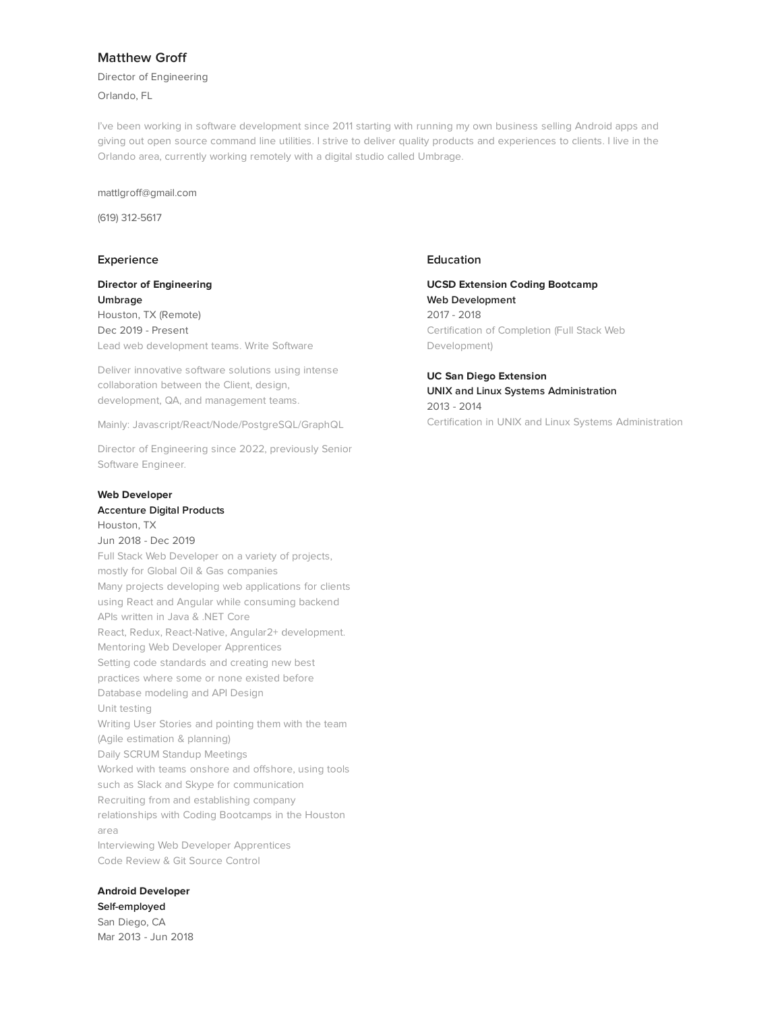# **Matthew Groff**

Director of Engineering

Orlando, FL

I've been working in software development since 2011 starting with running my own business selling Android apps and giving out open source command line utilities. I strive to deliver quality products and experiences to clients. I live in the Orlando area, currently working remotely with a digital studio called Umbrage.

mattlgroff@gmail.com

(619) 312-5617

## **Experience**

**Director of Engineering Umbrage** Houston, TX (Remote) Dec 2019 - Present Lead web development teams. Write Software

Deliver innovative software solutions using intense collaboration between the Client, design, development, QA, and management teams.

Mainly: Javascript/React/Node/PostgreSQL/GraphQL

Director of E[ngineering](http://represent.io/mattgroff/click/experience/22709) since 2022, previously Senior Software Engineer.

#### **Web Developer**

#### **Accenture Digital Products**

Houston, TX Jun 2018 - Dec 2019 Full Stack Web Developer on a variety of projects, mostly for Global Oil & Gas companies Many projects developing web applications for clients using React and Angular while consuming backend APIs written in Java & .NET Core React, Redux, React-Native, Angular2+ development. Mentoring Web Developer Apprentices Setting code standards and creating new best practices where some or none existed before Database modeling and API Design Unit testing Writing User Stories and pointing them with the team (Agile estimation & planning) Daily SCRUM Standup Meetings Worked with teams onshore and offshore, using tools such as Slack and Skype for [communication](http://represent.io/mattgroff/click/experience/19885) Recruiting from and establishing company relationships with Coding Bootcamps in the Houston area Interviewing Web Developer Apprentices Code Review & Git Source Control

# **Android Developer**

**Self-employed** San Diego, CA Mar 2013 - Jun 2018

# **Education**

**UCSD Extension Coding Bootcamp Web Development** 2017 - 2018 Certification of Completion (Full Stack Web Development)

**UC San Diego Extension UNIX and Linux Systems Administration** 2013 - 2014 Certification in UNIX and Linux Systems Administration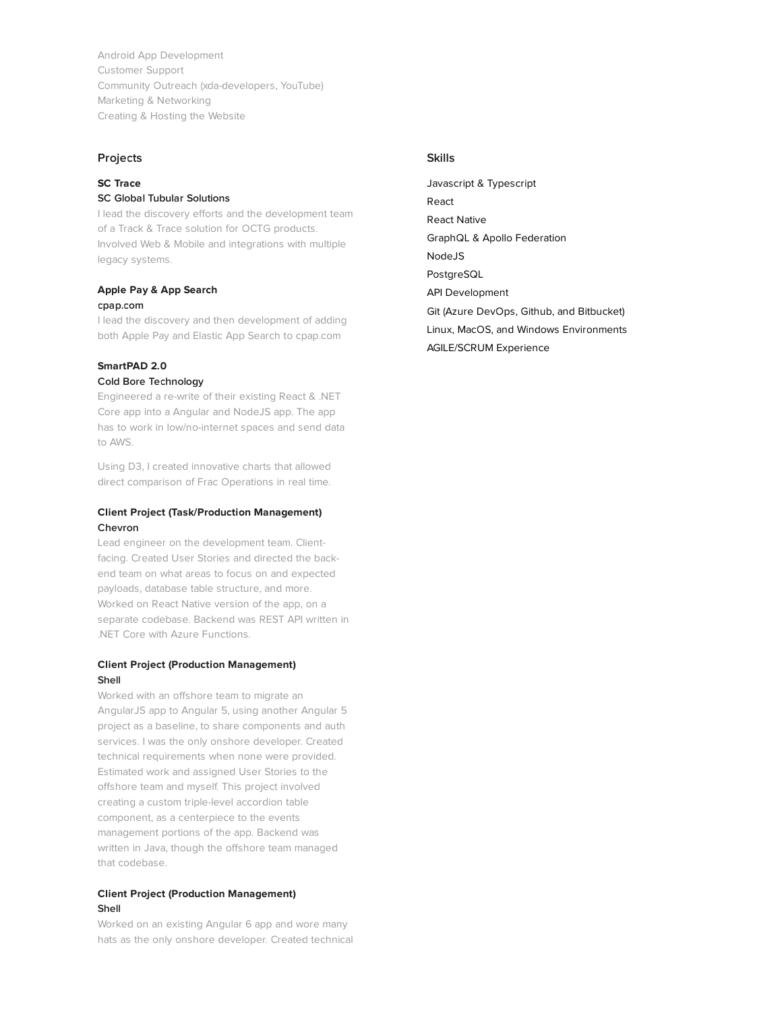Android App Development Customer Support Community Outreach (xda-developers, YouTube) Marketing & Networking Creating & Hosting the Website

## **Projects**

# **SC Trace**

#### **SC Global Tubular Solutions**

I lead the discovery efforts and the development team of a Track & Trace solution for OCTG products. Involved Web & Mobile and integrations with multiple legacy syste[ms.](http://represent.io/mattgroff/click/project/5055)

#### **Apple Pay & App Search cpap.com**

I lead the discovery and then development of adding both Apple Pay and Elastic App Search to cpap.com

# **SmartPAD 2.0**

## **Cold Bore Technology**

Engineered a re-write of their existing React & .NET Core app into a Angular and NodeJS app. The app has to work in low/no-internet spaces and send data to AWS.

Using D3, I created innovative charts that allowed direct comparison of Frac Operations in real time.

## **Client Project (Task/Production Management) Chevron**

Lead engineer on the development team. Clientfacing. Created User Stories and directed the backend team on what areas to focus on and expected payloads, database table structure, and more. Worked on React Native version of the app, on a separate codebase. Backend was REST API written in .NET Core with Azure Functions.

## **Client Project (Production Management) Shell**

Worked with an offshore team to migrate an AngularJS app to Angular 5, using another Angular 5 project as a baseline, to share components and auth services. I was the only onshore developer. Created technical requirements when none were provided. Estimated work and assigned User Stories to the offshore team and myself. This project involved creating a custom triple-level accordion table component, as a centerpiece to the events management portions of the app. Backend was written in Java, though the offshore team managed that codebase.

#### **Client Project (Production Management) Shell**

Worked on an existing Angular 6 app and wore many hats as the only onshore developer. Created technical

## **Skills**

Javascript & Typescript React React Native GraphQL & Apollo Federation NodeJS PostgreSQL API Development Git (Azure DevOps, Github, and Bitbucket) Linux, MacOS, and Windows Environments AGILE/SCRUM Experience